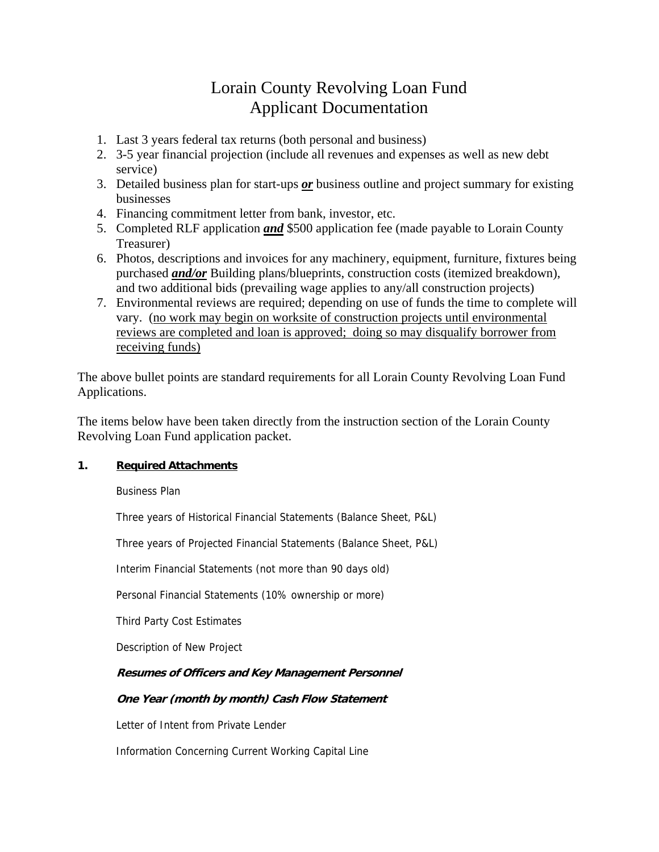# Lorain County Revolving Loan Fund Applicant Documentation

- 1. Last 3 years federal tax returns (both personal and business)
- 2. 3-5 year financial projection (include all revenues and expenses as well as new debt service)
- 3. Detailed business plan for start-ups *or* business outline and project summary for existing businesses
- 4. Financing commitment letter from bank, investor, etc.
- 5. Completed RLF application *and* \$500 application fee (made payable to Lorain County Treasurer)
- 6. Photos, descriptions and invoices for any machinery, equipment, furniture, fixtures being purchased *and/or* Building plans/blueprints, construction costs (itemized breakdown), and two additional bids (prevailing wage applies to any/all construction projects)
- 7. Environmental reviews are required; depending on use of funds the time to complete will vary. (no work may begin on worksite of construction projects until environmental reviews are completed and loan is approved; doing so may disqualify borrower from receiving funds)

The above bullet points are standard requirements for all Lorain County Revolving Loan Fund Applications.

The items below have been taken directly from the instruction section of the Lorain County Revolving Loan Fund application packet.

### **1. Required Attachments**

Business Plan

Three years of Historical Financial Statements (Balance Sheet, P&L)

Three years of Projected Financial Statements (Balance Sheet, P&L)

Interim Financial Statements (not more than 90 days old)

Personal Financial Statements (10% ownership or more)

Third Party Cost Estimates

Description of New Project

### **Resumes of Officers and Key Management Personnel**

### **One Year (month by month) Cash Flow Statement**

Letter of Intent from Private Lender

Information Concerning Current Working Capital Line